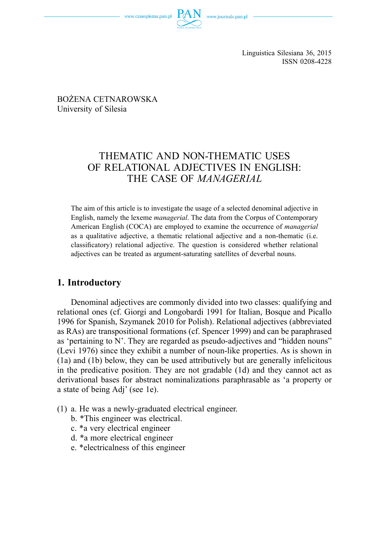

ISSN 0208-4228

 BOŻENA CETNAROWSKA University of Silesia

# THEMATIC AND NON-THEMATIC USES OF RELATIONAL ADJECTIVES IN ENGLISH: THE CASE OF *MANAGERIAL*

The aim of this article is to investigate the usage of a selected denominal adjective in English, namely the lexeme *managerial*. The data from the Corpus of Contemporary American English (COCA) are employed to examine the occurrence of *managerial* as a qualitative adjective, a thematic relational adjective and a non-thematic (i.e. classificatory) relational adjective. The question is considered whether relational adjectives can be treated as argument-saturating satellites of deverbal nouns.

## **1. Introductory**

Denominal adjectives are commonly divided into two classes: qualifying and relational ones (cf. Giorgi and Longobardi 1991 for Italian, Bosque and Picallo 1996 for Spanish, Szymanek 2010 for Polish). Relational adjectives (abbreviated as RAs) are transpositional formations (cf. Spencer 1999) and can be paraphrased as 'pertaining to N'. They are regarded as pseudo-adjectives and "hidden nouns" (Levi 1976) since they exhibit a number of noun-like properties. As is shown in (1a) and (1b) below, they can be used attributively but are generally infelicitous in the predicative position. They are not gradable (1d) and they cannot act as derivational bases for abstract nominalizations paraphrasable as 'a property or a state of being Adj' (see 1e).

- (1) a. He was a newly-graduated electrical engineer.
	- b. \*This engineer was electrical.
	- c. \*a very electrical engineer
	- d. \*a more electrical engineer
	- e. \*electricalness of this engineer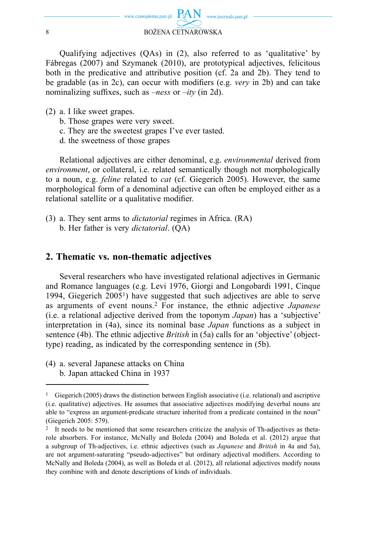

Qualifying adjectives (QAs) in (2), also referred to as 'qualitative' by Fábregas (2007) and Szymanek (2010), are prototypical adjectives, felicitous both in the predicative and attributive position (cf. 2a and 2b). They tend to be gradable (as in 2c), can occur with modifiers (e.g. *very* in 2b) and can take nominalizing suffixes, such as  $-ness$  or  $-ity$  (in 2d).

- (2) a. I like sweet grapes.
	- b. Those grapes were very sweet.
	- c. They are the sweetest grapes I've ever tasted.
	- d. the sweetness of those grapes

Relational adjectives are either denominal, e.g. *environmental* derived from *environment*, or collateral, i.e. related semantically though not morphologically to a noun, e.g. *feline* related to *cat* (cf. Giegerich 2005). However, the same morphological form of a denominal adjective can often be employed either as a relational satellite or a qualitative modifier.

(3) a. They sent arms to *dictatorial* regimes in Africa. (RA) b. Her father is very *dictatorial*. (QA)

### **2. Thematic vs. non-thematic adjectives**

Several researchers who have investigated relational adjectives in Germanic and Romance languages (e.g. Levi 1976, Giorgi and Longobardi 1991, Cinque 1994, Giegerich 20051) have suggested that such adjectives are able to serve as arguments of event nouns.2 For instance, the ethnic adjective *Japanese* (i.e. a relational adjective derived from the toponym *Japan*) has a 'subjective' interpretation in (4a), since its nominal base *Japan* functions as a subject in sentence (4b). The ethnic adjective *British* in (5a) calls for an 'objective' (objecttype) reading, as indicated by the corresponding sentence in (5b).

(4) a. several Japanese attacks on China b. Japan attacked China in 1937

<sup>1</sup> Giegerich (2005) draws the distinction between English associative (i.e. relational) and ascriptive (i.e. qualitative) adjectives. He assumes that associative adjectives modifying deverbal nouns are able to "express an argument-predicate structure inherited from a predicate contained in the noun" (Giegerich 2005: 579).

It needs to be mentioned that some researchers criticize the analysis of Th-adjectives as thetarole absorbers. For instance, McNally and Boleda (2004) and Boleda et al. (2012) argue that a subgroup of Th-adjectives, i.e. ethnic adjectives (such as *Japanese* and *British* in 4a and 5a), are not argument-saturating "pseudo-adjectives" but ordinary adjectival modifiers. According to McNally and Boleda (2004), as well as Boleda et al. (2012), all relational adjectives modify nouns they combine with and denote descriptions of kinds of individuals.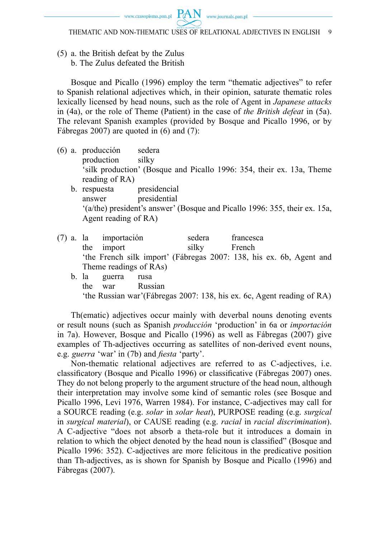(5) a. the British defeat by the Zulus b. The Zulus defeated the British

Bosque and Picallo (1996) employ the term "thematic adjectives" to refer to Spanish relational adjectives which, in their opinion, saturate thematic roles lexically licensed by head nouns, such as the role of Agent in *Japanese attacks* in (4a), or the role of Theme (Patient) in the case of *the British defeat* in (5a). The relevant Spanish examples (provided by Bosque and Picallo 1996, or by Fábregas 2007) are quoted in (6) and (7):

- (6) a. producción sedera production silky 'silk production' (Bosque and Picallo 1996: 354, their ex. 13a, Theme reading of RA)
	- b. respuesta presidencial answer presidential '(a/the) president's answer' (Bosque and Picallo 1996: 355, their ex. 15a, Agent reading of RA)
- (7) a. la importación sedera francesca the import silky French 'the French silk import' (Fábregas 2007: 138, his ex. 6b, Agent and Theme readings of RAs)
	- b. la guerra rusa the war Russian 'the Russian war'(Fábregas 2007: 138, his ex. 6c, Agent reading of RA)

Th(ematic) adjectives occur mainly with deverbal nouns denoting events or result nouns (such as Spanish *producción* 'production' in 6a or *importación* in 7a). However, Bosque and Picallo (1996) as well as Fábregas (2007) give examples of Th-adjectives occurring as satellites of non-derived event nouns, e.g. *guerra* 'war' in (7b) and *fiesta* 'party'.

Non-thematic relational adjectives are referred to as C-adjectives, i.e. classificatory (Bosque and Picallo 1996) or classificative (Fábregas 2007) ones. They do not belong properly to the argument structure of the head noun, although their interpretation may involve some kind of semantic roles (see Bosque and Picallo 1996, Levi 1976, Warren 1984). For instance, C-adjectives may call for a SOURCE reading (e.g. *solar* in *solar heat*), PURPOSE reading (e.g. *surgical* in *surgical material*), or CAUSE reading (e.g. *racial* in *racial discrimination*). A C-adjective "does not absorb a theta-role but it introduces a domain in relation to which the object denoted by the head noun is classified" (Bosque and Picallo 1996: 352). C-adjectives are more felicitous in the predicative position than Th-adjectives, as is shown for Spanish by Bosque and Picallo (1996) and Fábregas (2007).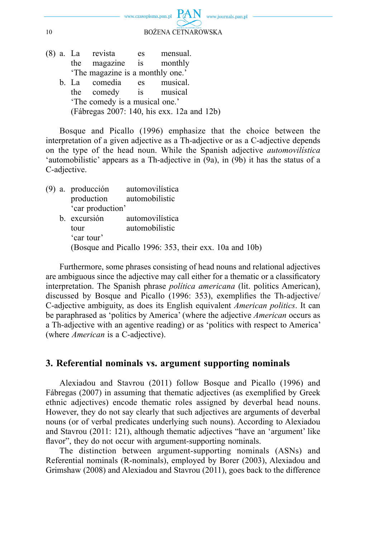

|                                            |                                  | (8) a. La revista     | es | mensual.    |  |  |  |  |  |
|--------------------------------------------|----------------------------------|-----------------------|----|-------------|--|--|--|--|--|
|                                            |                                  | the magazine is       |    | monthly     |  |  |  |  |  |
|                                            | 'The magazine is a monthly one.' |                       |    |             |  |  |  |  |  |
|                                            |                                  | b. La comedia         |    | es musical. |  |  |  |  |  |
|                                            |                                  | the comedy is musical |    |             |  |  |  |  |  |
|                                            | 'The comedy is a musical one.'   |                       |    |             |  |  |  |  |  |
| (Fábregas 2007: 140, his exx. 12a and 12b) |                                  |                       |    |             |  |  |  |  |  |
|                                            |                                  |                       |    |             |  |  |  |  |  |

Bosque and Picallo (1996) emphasize that the choice between the interpretation of a given adjective as a Th-adjective or as a C-adjective depends on the type of the head noun. While the Spanish adjective *automovilística* 'automobilistic' appears as a Th-adjective in (9a), in (9b) it has the status of a C-adjective.

(9) a. producción automovilística production automobilistic 'car production' b. excursión automovilística tour automobilistic 'car tour'

(Bosque and Picallo 1996: 353, their exx. 10a and 10b)

Furthermore, some phrases consisting of head nouns and relational adjectives are ambiguous since the adjective may call either for a thematic or a classificatory interpretation. The Spanish phrase *política americana* (lit. politics American), discussed by Bosque and Picallo (1996: 353), exemplifies the Th-adjective/ C-adjective ambiguity, as does its English equivalent *American politics*. It can be paraphrased as 'politics by America' (where the adjective *American* occurs as a Th-adjective with an agentive reading) or as 'politics with respect to America' (where *American* is a C-adjective).

#### **3. Referential nominals vs. argument supporting nominals**

Alexiadou and Stavrou (2011) follow Bosque and Picallo (1996) and Fábregas (2007) in assuming that thematic adjectives (as exemplified by Greek ethnic adjectives) encode thematic roles assigned by deverbal head nouns. However, they do not say clearly that such adjectives are arguments of deverbal nouns (or of verbal predicates underlying such nouns). According to Alexiadou and Stavrou (2011: 121), although thematic adjectives "have an 'argument' like flavor", they do not occur with argument-supporting nominals.

The distinction between argument-supporting nominals (ASNs) and Referential nominals (R-nominals), employed by Borer (2003), Alexiadou and Grimshaw (2008) and Alexiadou and Stavrou (2011), goes back to the difference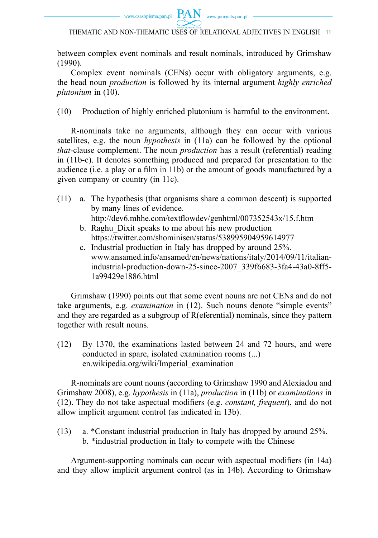



between complex event nominals and result nominals, introduced by Grimshaw (1990).

Complex event nominals (CENs) occur with obligatory arguments, e.g. the head noun *production* is followed by its internal argument *highly enriched plutonium* in (10).

(10) Production of highly enriched plutonium is harmful to the environment.

R-nominals take no arguments, although they can occur with various satellites, e.g. the noun *hypothesis* in (11a) can be followed by the optional *that*-clause complement. The noun *production* has a result (referential) reading in (11b-c). It denotes something produced and prepared for presentation to the audience (i.e. a play or a film in 11b) or the amount of goods manufactured by a given company or country (in 11c).

- (11) a. The hypothesis (that organisms share a common descent) is supported by many lines of evidence. http://dev6.mhhe.com/textflowdev/genhtml/007352543x/15.f.htm
	- b. Raghu\_Dixit speaks to me about his new production https://twitter.com/shominisen/status/538995904959614977
	- c. Industrial production in Italy has dropped by around 25%. www.ansamed.info/ansamed/en/news/nations/italy/2014/09/11/italianindustrial-production-down-25-since-2007\_339f6683-3fa4-43a0-8ff5- 1a99429e1886.html

Grimshaw (1990) points out that some event nouns are not CENs and do not take arguments, e.g. *examination* in (12). Such nouns denote "simple events" and they are regarded as a subgroup of R(eferential) nominals, since they pattern together with result nouns.

(12) By 1370, the examinations lasted between 24 and 72 hours, and were conducted in spare, isolated examination rooms (...) en.wikipedia.org/wiki/Imperial\_examination

R-nominals are count nouns (according to Grimshaw 1990 and Alexiadou and Grimshaw 2008), e.g. *hypothesis* in (11a), *production* in (11b) or *examinations* in (12). They do not take aspectual modifiers (e.g. *constant, frequent*), and do not allow implicit argument control (as indicated in 13b).

(13) a. \*Constant industrial production in Italy has dropped by around 25%. b. \*industrial production in Italy to compete with the Chinese

Argument-supporting nominals can occur with aspectual modifiers (in 14a) and they allow implicit argument control (as in 14b). According to Grimshaw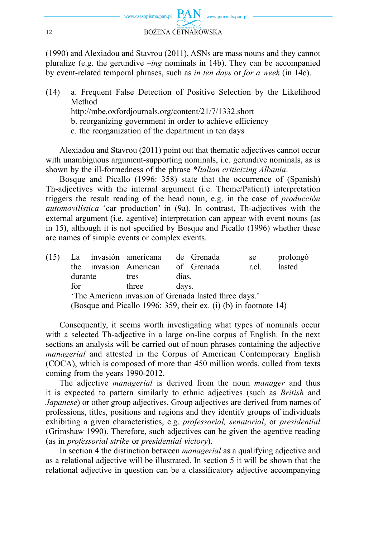

(1990) and Alexiadou and Stavrou (2011), ASNs are mass nouns and they cannot pluralize (e.g. the gerundive –*ing* nominals in 14b). They can be accompanied by event-related temporal phrases, such as *in ten days* or *for a week* (in 14c).

(14) a. Frequent False Detection of Positive Selection by the Likelihood Method http://mbe.oxfordjournals.org/content/21/7/1332.short b. reorganizing government in order to achieve efficiency c. the reorganization of the department in ten days

Alexiadou and Stavrou (2011) point out that thematic adjectives cannot occur with unambiguous argument-supporting nominals, i.e. gerundive nominals, as is shown by the ill-formedness of the phrase *\*Italian criticizing Albania*.

Bosque and Picallo (1996: 358) state that the occurrence of (Spanish) Th-adjectives with the internal argument (i.e. Theme/Patient) interpretation triggers the result reading of the head noun, e.g. in the case of *producción automovilística* 'car production' in (9a). In contrast, Th-adjectives with the external argument (i.e. agentive) interpretation can appear with event nouns (as in 15), although it is not specified by Bosque and Picallo (1996) whether these are names of simple events or complex events.

|                                                                  |  |       |                   |                       | se                                         | prolongó |  |  |  |
|------------------------------------------------------------------|--|-------|-------------------|-----------------------|--------------------------------------------|----------|--|--|--|
| the                                                              |  |       |                   |                       | r.cl.                                      | lasted   |  |  |  |
| durante                                                          |  | tres  |                   |                       |                                            |          |  |  |  |
| for                                                              |  | three |                   |                       |                                            |          |  |  |  |
| 'The American invasion of Grenada lasted three days.'            |  |       |                   |                       |                                            |          |  |  |  |
| (Bosque and Picallo 1996: 359, their ex. (i) (b) in footnote 14) |  |       |                   |                       |                                            |          |  |  |  |
|                                                                  |  |       | invasion American | La invasión americana | de Grenada<br>of Grenada<br>días.<br>davs. |          |  |  |  |

Consequently, it seems worth investigating what types of nominals occur with a selected Th-adjective in a large on-line corpus of English. In the next sections an analysis will be carried out of noun phrases containing the adjective *managerial* and attested in the Corpus of American Contemporary English (COCA), which is composed of more than 450 million words, culled from texts coming from the years 1990-2012.

The adjective *managerial* is derived from the noun *manager* and thus it is expected to pattern similarly to ethnic adjectives (such as *British* and *Japanese*) or other group adjectives. Group adjectives are derived from names of professions, titles, positions and regions and they identify groups of individuals exhibiting a given characteristics, e.g. *professorial, senatorial*, or *presidential* (Grimshaw 1990). Therefore, such adjectives can be given the agentive reading (as in *professorial strike* or *presidential victory*).

In section 4 the distinction between *managerial* as a qualifying adjective and as a relational adjective will be illustrated. In section 5 it will be shown that the relational adjective in question can be a classificatory adjective accompanying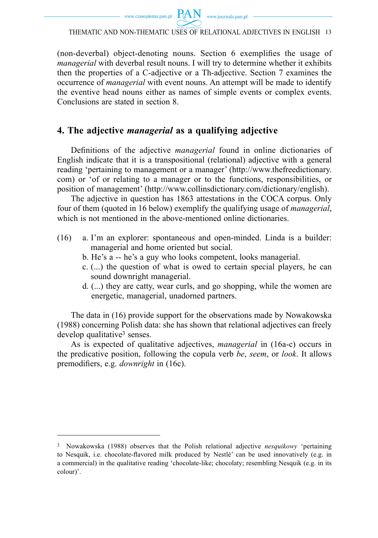

THEMATIC AND NON-THEMATIC USES OF RELATIONAL ADJECTIVES IN ENGLISH 13

(non-deverbal) object-denoting nouns. Section 6 exemplifies the usage of *managerial* with deverbal result nouns. I will try to determine whether it exhibits then the properties of a C-adjective or a Th-adjective. Section 7 examines the occurrence of *managerial* with event nouns. An attempt will be made to identify the eventive head nouns either as names of simple events or complex events. Conclusions are stated in section 8.

## **4. The adjective** *managerial* **as a qualifying adjective**

Definitions of the adjective *managerial* found in online dictionaries of English indicate that it is a transpositional (relational) adjective with a general reading 'pertaining to management or a manager' (http://www.thefreedictionary. com) or 'of or relating to a manager or to the functions, responsibilities, or position of management' (http://www.collinsdictionary.com/dictionary/english).

The adjective in question has 1863 attestations in the COCA corpus. Only four of them (quoted in 16 below) exemplify the qualifying usage of *managerial*, which is not mentioned in the above-mentioned online dictionaries.

- (16) a. I'm an explorer: spontaneous and open-minded. Linda is a builder: managerial and home oriented but social.
	- b. He's a -- he's a guy who looks competent, looks managerial.
	- c. (...) the question of what is owed to certain special players, he can sound downright managerial.
	- d. (...) they are catty, wear curls, and go shopping, while the women are energetic, managerial, unadorned partners.

The data in (16) provide support for the observations made by Nowakowska (1988) concerning Polish data: she has shown that relational adjectives can freely develop qualitative<sup>3</sup> senses.

As is expected of qualitative adjectives, *managerial* in (16a-c) occurs in the predicative position, following the copula verb *be*, *seem*, or *look*. It allows premodifiers, e.g. *downright* in (16c).

<sup>3</sup> Nowakowska (1988) observes that the Polish relational adjective *nesquikowy* 'pertaining to Nesquik, i.e. chocolate-flavored milk produced by Nestlé' can be used innovatively (e.g. in a commercial) in the qualitative reading 'chocolate-like; chocolaty; resembling Nesquik (e.g. in its colour)'.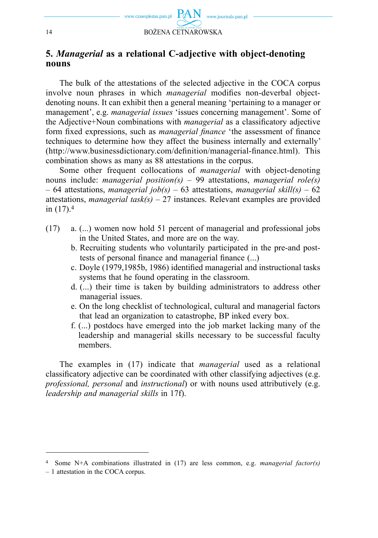

#### **5.** *Managerial* **as a relational C-adjective with object-denoting nouns**

The bulk of the attestations of the selected adjective in the COCA corpus involve noun phrases in which *managerial* modifies non-deverbal objectdenoting nouns. It can exhibit then a general meaning 'pertaining to a manager or management', e.g. *managerial issues* 'issues concerning management'. Some of the Adjective+Noun combinations with *managerial* as a classificatory adjective form fixed expressions, such as *managerial finance* 'the assessment of finance techniques to determine how they affect the business internally and externally' (http://www.businessdictionary.com/definition/managerial-finance.html). This combination shows as many as 88 attestations in the corpus.

Some other frequent collocations of *managerial* with object-denoting nouns include: *managerial position(s)* – 99 attestations, *managerial role(s)* – 64 attestations, *managerial job(s)* – 63 attestations, *managerial skill(s)* – 62 attestations, *managerial*  $task(s) - 27$  instances. Relevant examples are provided in (17).4

- (17) a. (...) women now hold 51 percent of managerial and professional jobs in the United States, and more are on the way.
	- b. Recruiting students who voluntarily participated in the pre-and posttests of personal finance and managerial finance  $(...)$
	- c. Doyle (1979,1985b, 1986) identified managerial and instructional tasks systems that he found operating in the classroom.
	- d. (...) their time is taken by building administrators to address other managerial issues.
	- e. On the long checklist of technological, cultural and managerial factors that lead an organization to catastrophe, BP inked every box.
	- f. (...) postdocs have emerged into the job market lacking many of the leadership and managerial skills necessary to be successful faculty members.

The examples in (17) indicate that *managerial* used as a relational classificatory adjective can be coordinated with other classifying adjectives (e.g. *professional, personal* and *instructional*) or with nouns used attributively (e.g. *leadership and managerial skills* in 17f).

<sup>4</sup> Some N+A combinations illustrated in (17) are less common, e.g. *managerial factor(s)*

<sup>– 1</sup> attestation in the COCA corpus.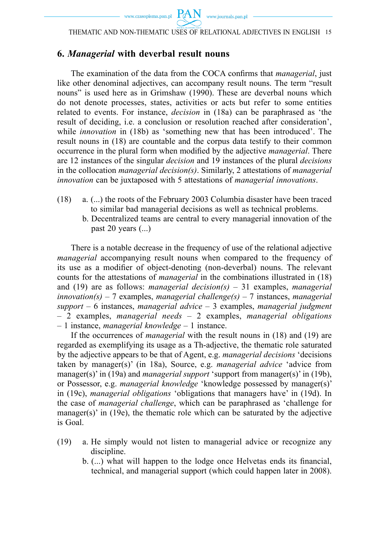THEMATIC AND NON-THEMATIC USES OF RELATIONAL ADJECTIVES IN ENGLISH 15

### **6.** *Managerial* **with deverbal result nouns**

The examination of the data from the COCA confirms that *managerial*, just like other denominal adjectives, can accompany result nouns. The term "result nouns" is used here as in Grimshaw (1990). These are deverbal nouns which do not denote processes, states, activities or acts but refer to some entities related to events. For instance, *decision* in (18a) can be paraphrased as 'the result of deciding, i.e. a conclusion or resolution reached after consideration', while *innovation* in (18b) as 'something new that has been introduced'. The result nouns in (18) are countable and the corpus data testify to their common occurrence in the plural form when modified by the adjective *managerial*. There are 12 instances of the singular *decision* and 19 instances of the plural *decisions* in the collocation *managerial decision(s)*. Similarly, 2 attestations of *managerial innovation* can be juxtaposed with 5 attestations of *managerial innovations*.

- (18) a. (...) the roots of the February 2003 Columbia disaster have been traced to similar bad managerial decisions as well as technical problems.
	- b. Decentralized teams are central to every managerial innovation of the past 20 years (...)

There is a notable decrease in the frequency of use of the relational adjective *managerial* accompanying result nouns when compared to the frequency of its use as a modifier of object-denoting (non-deverbal) nouns. The relevant counts for the attestations of *managerial* in the combinations illustrated in (18) and (19) are as follows: *managerial decision(s)* – 31 examples, *managerial innovation(s)* – 7 examples, *managerial challenge(s)* – 7 instances, *managerial support* – 6 instances, *managerial advice* – 3 examples, *managerial judgment* – 2 examples, *managerial needs* – 2 examples, *managerial obligations* – 1 instance, *managerial knowledge* – 1 instance.

If the occurrences of *managerial* with the result nouns in (18) and (19) are regarded as exemplifying its usage as a Th-adjective, the thematic role saturated by the adjective appears to be that of Agent, e.g. *managerial decisions* 'decisions taken by manager(s)' (in 18a), Source, e.g. *managerial advice* 'advice from manager(s)' in (19a) and *managerial support* 'support from manager(s)' in (19b), or Possessor, e.g. *managerial knowledge* 'knowledge possessed by manager(s)' in (19c), *managerial obligations* 'obligations that managers have' in (19d). In the case of *managerial challenge*, which can be paraphrased as 'challenge for manager(s)' in  $(19e)$ , the thematic role which can be saturated by the adjective is Goal.

- (19) a. He simply would not listen to managerial advice or recognize any discipline.
	- b. (...) what will happen to the lodge once Helvetas ends its financial, technical, and managerial support (which could happen later in 2008).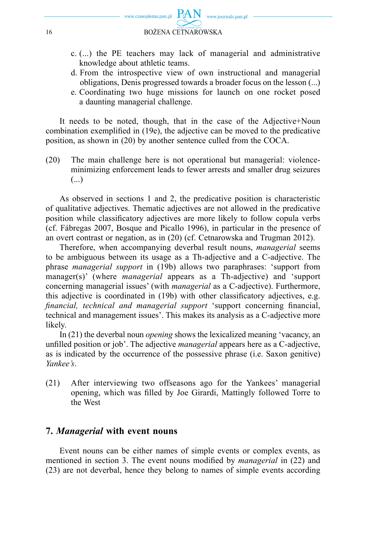

- c. (...) the PE teachers may lack of managerial and administrative knowledge about athletic teams.
- d. From the introspective view of own instructional and managerial obligations, Denis progressed towards a broader focus on the lesson (...)
- e. Coordinating two huge missions for launch on one rocket posed a daunting managerial challenge.

It needs to be noted, though, that in the case of the Adjective+Noun combination exemplified in (19e), the adjective can be moved to the predicative position, as shown in (20) by another sentence culled from the COCA.

(20) The main challenge here is not operational but managerial: violenceminimizing enforcement leads to fewer arrests and smaller drug seizures (...)

As observed in sections 1 and 2, the predicative position is characteristic of qualitative adjectives. Thematic adjectives are not allowed in the predicative position while classificatory adjectives are more likely to follow copula verbs (cf. Fábregas 2007, Bosque and Picallo 1996), in particular in the presence of an overt contrast or negation, as in (20) (cf. Cetnarowska and Trugman 2012).

Therefore, when accompanying deverbal result nouns, *managerial* seems to be ambiguous between its usage as a Th-adjective and a C-adjective. The phrase *managerial support* in (19b) allows two paraphrases: 'support from manager(s)' (where *managerial* appears as a Th-adjective) and 'support concerning managerial issues' (with *managerial* as a C-adjective). Furthermore, this adjective is coordinated in  $(19b)$  with other classificatory adjectives, e.g. *financial, technical and managerial support* 'support concerning financial, technical and management issues'. This makes its analysis as a C-adjective more likely.

In (21) the deverbal noun *opening* shows the lexicalized meaning 'vacancy, an unfi lled position or job'. The adjective *managerial* appears here as a C-adjective, as is indicated by the occurrence of the possessive phrase (i.e. Saxon genitive) *Yankee's*.

(21) After interviewing two offseasons ago for the Yankees' managerial opening, which was filled by Joe Girardi, Mattingly followed Torre to the West

#### **7.** *Managerial* **with event nouns**

Event nouns can be either names of simple events or complex events, as mentioned in section 3. The event nouns modified by *managerial* in (22) and (23) are not deverbal, hence they belong to names of simple events according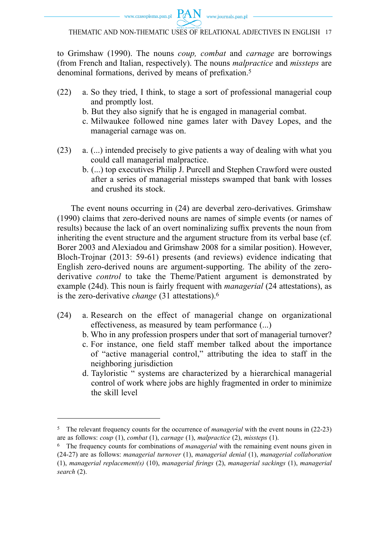

to Grimshaw (1990). The nouns *coup, combat* and *carnage* are borrowings (from French and Italian, respectively). The nouns *malpractice* and *missteps* are denominal formations, derived by means of prefixation.<sup>5</sup>

- (22) a. So they tried, I think, to stage a sort of professional managerial coup and promptly lost.
	- b. But they also signify that he is engaged in managerial combat.
	- c. Milwaukee followed nine games later with Davey Lopes, and the managerial carnage was on.
- (23) a. (...) intended precisely to give patients a way of dealing with what you could call managerial malpractice.
	- b. (...) top executives Philip J. Purcell and Stephen Crawford were ousted after a series of managerial missteps swamped that bank with losses and crushed its stock.

The event nouns occurring in (24) are deverbal zero-derivatives. Grimshaw (1990) claims that zero-derived nouns are names of simple events (or names of results) because the lack of an overt nominalizing suffix prevents the noun from inheriting the event structure and the argument structure from its verbal base (cf. Borer 2003 and Alexiadou and Grimshaw 2008 for a similar position). However, Bloch-Trojnar (2013: 59-61) presents (and reviews) evidence indicating that English zero-derived nouns are argument-supporting. The ability of the zeroderivative *control* to take the Theme/Patient argument is demonstrated by example (24d). This noun is fairly frequent with *managerial* (24 attestations), as is the zero-derivative *change* (31 attestations).6

- (24) a. Research on the effect of managerial change on organizational effectiveness, as measured by team performance (...)
	- b. Who in any profession prospers under that sort of managerial turnover?
	- c. For instance, one field staff member talked about the importance of "active managerial control," attributing the idea to staff in the neighboring jurisdiction
	- d. Tayloristic " systems are characterized by a hierarchical managerial control of work where jobs are highly fragmented in order to minimize the skill level

<sup>5</sup> The relevant frequency counts for the occurrence of *managerial* with the event nouns in (22-23) are as follows: *coup* (1), *combat* (1), *carnage* (1), *malpractice* (2), *missteps* (1).

<sup>6</sup> The frequency counts for combinations of *managerial* with the remaining event nouns given in (24-27) are as follows: *managerial turnover* (1), *managerial denial* (1), *managerial collaboration* (1), *managerial replacement(s)* (10), *managerial firings* (2), *managerial sackings* (1), *managerial search* (2).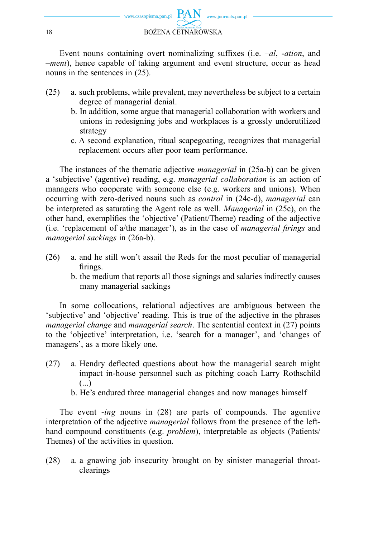

Event nouns containing overt nominalizing suffixes (i.e.  $-al$ ,  $-ail$ ,  $a$ nd –*ment*), hence capable of taking argument and event structure, occur as head nouns in the sentences in (25).

- (25) a. such problems, while prevalent, may nevertheless be subject to a certain degree of managerial denial.
	- b. In addition, some argue that managerial collaboration with workers and unions in redesigning jobs and workplaces is a grossly underutilized strategy
	- c. A second explanation, ritual scapegoating, recognizes that managerial replacement occurs after poor team performance.

The instances of the thematic adjective *managerial* in (25a-b) can be given a 'subjective' (agentive) reading, e.g. *managerial collaboration* is an action of managers who cooperate with someone else (e.g. workers and unions). When occurring with zero-derived nouns such as *control* in (24c-d), *managerial* can be interpreted as saturating the Agent role as well. *Managerial* in (25c), on the other hand, exemplifies the 'objective' (Patient/Theme) reading of the adjective (i.e. 'replacement of a/the manager'), as in the case of *managerial firings* and *managerial sackings* in (26a-b).

- (26) a. and he still won't assail the Reds for the most peculiar of managerial firings.
	- b. the medium that reports all those signings and salaries indirectly causes many managerial sackings

In some collocations, relational adjectives are ambiguous between the 'subjective' and 'objective' reading. This is true of the adjective in the phrases *managerial change* and *managerial search*. The sentential context in (27) points to the 'objective' interpretation, i.e. 'search for a manager', and 'changes of managers', as a more likely one.

- $(27)$  a. Hendry deflected questions about how the managerial search might impact in-house personnel such as pitching coach Larry Rothschild (...)
	- b. He's endured three managerial changes and now manages himself

The event -*ing* nouns in (28) are parts of compounds. The agentive interpretation of the adjective *managerial* follows from the presence of the lefthand compound constituents (e.g. *problem*), interpretable as objects (Patients/ Themes) of the activities in question.

(28) a. a gnawing job insecurity brought on by sinister managerial throatclearings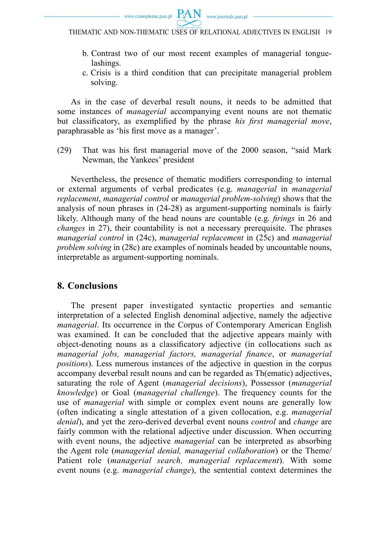



- b. Contrast two of our most recent examples of managerial tonguelashings.
- c. Crisis is a third condition that can precipitate managerial problem solving.

As in the case of deverbal result nouns, it needs to be admitted that some instances of *managerial* accompanying event nouns are not thematic but classificatory, as exemplified by the phrase *his first managerial move*, paraphrasable as 'his first move as a manager'.

(29) That was his first managerial move of the 2000 season, "said Mark Newman, the Yankees' president

Nevertheless, the presence of thematic modifiers corresponding to internal or external arguments of verbal predicates (e.g. *managerial* in *managerial replacement*, *managerial control* or *managerial problem-solving*) shows that the analysis of noun phrases in (24-28) as argument-supporting nominals is fairly likely. Although many of the head nouns are countable (e.g. *firings* in 26 and *changes* in 27), their countability is not a necessary prerequisite. The phrases *managerial control* in (24c), *managerial replacement* in (25c) and *managerial problem solving* in (28c) are examples of nominals headed by uncountable nouns, interpretable as argument-supporting nominals.

#### **8. Conclusions**

The present paper investigated syntactic properties and semantic interpretation of a selected English denominal adjective, namely the adjective *managerial*. Its occurrence in the Corpus of Contemporary American English was examined. It can be concluded that the adjective appears mainly with object-denoting nouns as a classificatory adjective (in collocations such as *managerial jobs, managerial factors, managerial finance, or managerial positions*). Less numerous instances of the adjective in question in the corpus accompany deverbal result nouns and can be regarded as Th(ematic) adjectives, saturating the role of Agent (*managerial decisions*), Possessor (*managerial knowledge*) or Goal (*managerial challenge*). The frequency counts for the use of *managerial* with simple or complex event nouns are generally low (often indicating a single attestation of a given collocation, e.g. *managerial denial*), and yet the zero-derived deverbal event nouns *control* and *change* are fairly common with the relational adjective under discussion. When occurring with event nouns, the adjective *managerial* can be interpreted as absorbing the Agent role (*managerial denial, managerial collaboration*) or the Theme/ Patient role (*managerial search, managerial replacement*). With some event nouns (e.g. *managerial change*), the sentential context determines the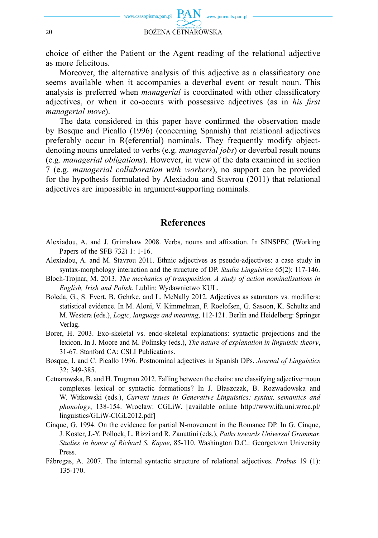

choice of either the Patient or the Agent reading of the relational adjective as more felicitous.

Moreover, the alternative analysis of this adjective as a classificatory one seems available when it accompanies a deverbal event or result noun. This analysis is preferred when *managerial* is coordinated with other classificatory adjectives, or when it co-occurs with possessive adjectives (as in *his first managerial move*).

The data considered in this paper have confirmed the observation made by Bosque and Picallo (1996) (concerning Spanish) that relational adjectives preferably occur in R(eferential) nominals. They frequently modify objectdenoting nouns unrelated to verbs (e.g. *managerial jobs*) or deverbal result nouns (e.g. *managerial obligations*). However, in view of the data examined in section 7 (e.g. *managerial collaboration with workers*), no support can be provided for the hypothesis formulated by Alexiadou and Stavrou (2011) that relational adjectives are impossible in argument-supporting nominals.

#### **References**

- Alexiadou, A. and J. Grimshaw 2008. Verbs, nouns and affixation. In SINSPEC (Working Papers of the SFB 732) 1: 1-16.
- Alexiadou, A. and M. Stavrou 2011. Ethnic adjectives as pseudo-adjectives: a case study in syntax-morphology interaction and the structure of DP. *Studia Linguistica* 65(2): 117-146.
- Bloch-Trojnar, M. 2013. *The mechanics of transposition. A study of action nominalisations in English, Irish and Polish*. Lublin: Wydawnictwo KUL.
- Boleda, G., S. Evert, B. Gehrke, and L. McNally 2012. Adjectives as saturators vs. modifiers: statistical evidence. In M. Aloni, V. Kimmelman, F. Roelofsen, G. Sasoon, K. Schultz and M. Westera (eds.), *Logic, language and meaning*, 112-121. Berlin and Heidelberg: Springer Verlag.
- Borer, H. 2003. Exo-skeletal vs. endo-skeletal explanations: syntactic projections and the lexicon. In J. Moore and M. Polinsky (eds.), *The nature of explanation in linguistic theory*, 31-67. Stanford CA: CSLI Publications.
- Bosque, I. and C. Picallo 1996. Postnominal adjectives in Spanish DPs. *Journal of Linguistics*  32: 349-385.
- Cetnarowska, B. and H. Trugman 2012. Falling between the chairs: are classifying adjective+noun complexes lexical or syntactic formations? In J. Błaszczak, B. Rozwadowska and W. Witkowski (eds.), *Current issues in Generative Linguistics: syntax, semantics and phonology*, 138-154. Wrocław: CGLiW. [available online http://www.ifa.uni.wroc.pl/ linguistics/GLiW-CIGL2012.pdf]
- Cinque, G. 1994. On the evidence for partial N-movement in the Romance DP. In G. Cinque, J. Koster, J.-Y. Pollock, L. Rizzi and R. Zanuttini (eds.), *Paths towards Universal Grammar. Studies in honor of Richard S. Kayne*, 85-110. Washington D.C.: Georgetown University Press.
- Fábregas, A. 2007. The internal syntactic structure of relational adjectives. *Probus* 19 (1): 135-170.